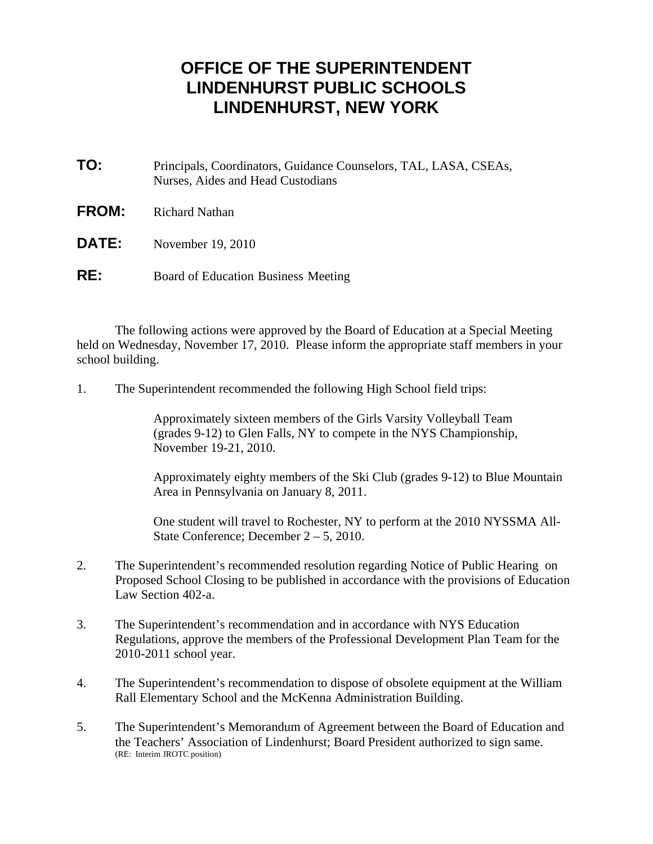## **OFFICE OF THE SUPERINTENDENT LINDENHURST PUBLIC SCHOOLS LINDENHURST, NEW YORK**

- **TO:** Principals, Coordinators, Guidance Counselors, TAL, LASA, CSEAs, Nurses, Aides and Head Custodians
- **FROM:** Richard Nathan
- **DATE:** November 19, 2010
- **RE:** Board of Education Business Meeting

 The following actions were approved by the Board of Education at a Special Meeting held on Wednesday, November 17, 2010. Please inform the appropriate staff members in your school building.

1. The Superintendent recommended the following High School field trips:

 Approximately sixteen members of the Girls Varsity Volleyball Team (grades 9-12) to Glen Falls, NY to compete in the NYS Championship, November 19-21, 2010.

 Approximately eighty members of the Ski Club (grades 9-12) to Blue Mountain Area in Pennsylvania on January 8, 2011.

 One student will travel to Rochester, NY to perform at the 2010 NYSSMA All- State Conference; December 2 – 5, 2010.

- 2. The Superintendent's recommended resolution regarding Notice of Public Hearing on Proposed School Closing to be published in accordance with the provisions of Education Law Section 402-a.
- 3. The Superintendent's recommendation and in accordance with NYS Education Regulations, approve the members of the Professional Development Plan Team for the 2010-2011 school year.
- 4. The Superintendent's recommendation to dispose of obsolete equipment at the William Rall Elementary School and the McKenna Administration Building.
- 5. The Superintendent's Memorandum of Agreement between the Board of Education and the Teachers' Association of Lindenhurst; Board President authorized to sign same. (RE: Interim JROTC position)